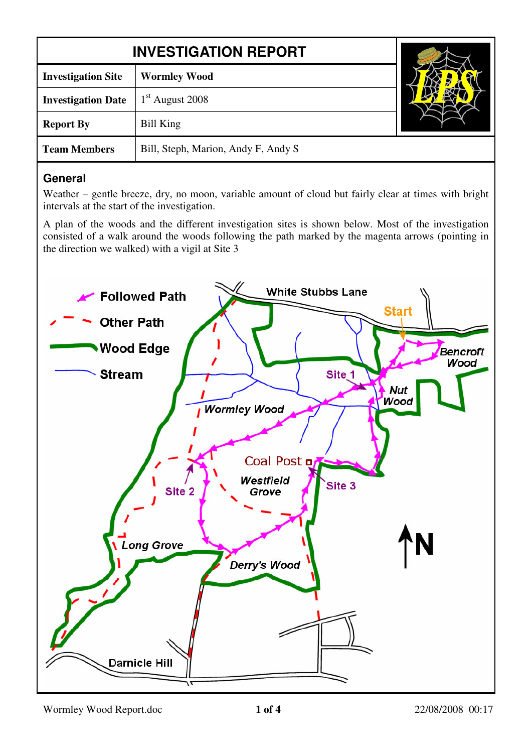| <b>INVESTIGATION REPORT</b> |                                     |  |
|-----------------------------|-------------------------------------|--|
| <b>Investigation Site</b>   | <b>Wormley Wood</b>                 |  |
| <b>Investigation Date</b>   | $1st$ August 2008                   |  |
| <b>Report By</b>            | <b>Bill King</b>                    |  |
| <b>Team Members</b>         | Bill, Steph, Marion, Andy F, Andy S |  |

### **General**

Weather – gentle breeze, dry, no moon, variable amount of cloud but fairly clear at times with bright intervals at the start of the investigation.

A plan of the woods and the different investigation sites is shown below. Most of the investigation consisted of a walk around the woods following the path marked by the magenta arrows (pointing in the direction we walked) with a vigil at Site 3

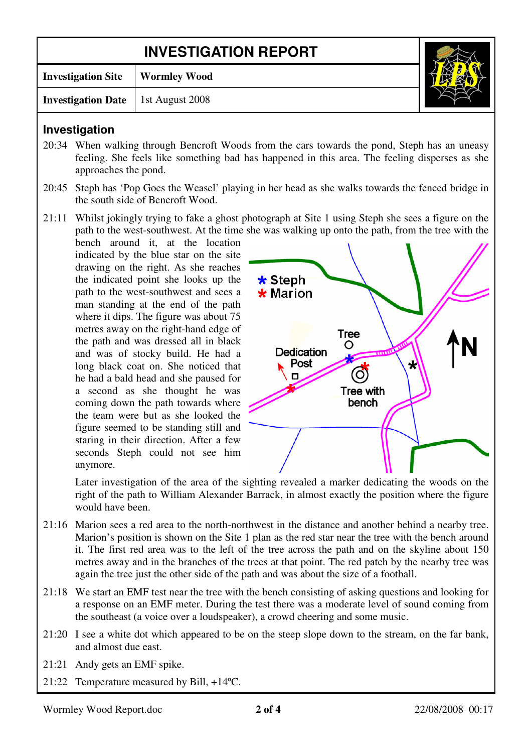## **INVESTIGATION REPORT**

| <b>Investigation Site</b>                   | <b>Wormley Wood</b> |
|---------------------------------------------|---------------------|
| <b>Investigation Date</b>   1st August 2008 |                     |



### **Investigation**

- 20:34 When walking through Bencroft Woods from the cars towards the pond, Steph has an uneasy feeling. She feels like something bad has happened in this area. The feeling disperses as she approaches the pond.
- 20:45 Steph has 'Pop Goes the Weasel' playing in her head as she walks towards the fenced bridge in the south side of Bencroft Wood.
- 21:11 Whilst jokingly trying to fake a ghost photograph at Site 1 using Steph she sees a figure on the path to the west-southwest. At the time she was walking up onto the path, from the tree with the
	- bench around it, at the location indicated by the blue star on the site drawing on the right. As she reaches the indicated point she looks up the path to the west-southwest and sees a man standing at the end of the path where it dips. The figure was about 75 metres away on the right-hand edge of the path and was dressed all in black and was of stocky build. He had a long black coat on. She noticed that he had a bald head and she paused for a second as she thought he was coming down the path towards where the team were but as she looked the figure seemed to be standing still and staring in their direction. After a few seconds Steph could not see him anymore.



Later investigation of the area of the sighting revealed a marker dedicating the woods on the right of the path to William Alexander Barrack, in almost exactly the position where the figure would have been.

- 21:16 Marion sees a red area to the north-northwest in the distance and another behind a nearby tree. Marion's position is shown on the Site 1 plan as the red star near the tree with the bench around it. The first red area was to the left of the tree across the path and on the skyline about 150 metres away and in the branches of the trees at that point. The red patch by the nearby tree was again the tree just the other side of the path and was about the size of a football.
- 21:18 We start an EMF test near the tree with the bench consisting of asking questions and looking for a response on an EMF meter. During the test there was a moderate level of sound coming from the southeast (a voice over a loudspeaker), a crowd cheering and some music.
- 21:20 I see a white dot which appeared to be on the steep slope down to the stream, on the far bank, and almost due east.
- 21:21 Andy gets an EMF spike.
- 21:22 Temperature measured by Bill, +14ºC.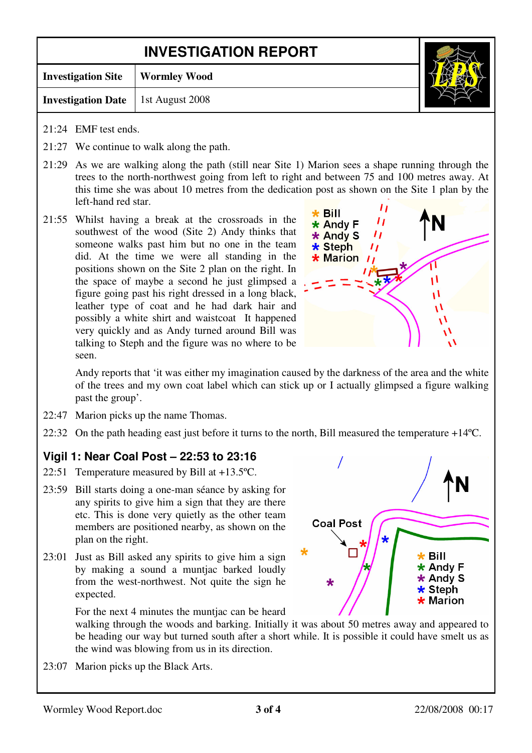# **INVESTIGATION REPORT**

| <b>Investigation Site</b>                   | <b>Wormley Wood</b> |
|---------------------------------------------|---------------------|
| <b>Investigation Date</b>   1st August 2008 |                     |



- 21:24 EMF test ends.
- 21:27 We continue to walk along the path.
- 21:29 As we are walking along the path (still near Site 1) Marion sees a shape running through the trees to the north-northwest going from left to right and between 75 and 100 metres away. At this time she was about 10 metres from the dedication post as shown on the Site 1 plan by the left-hand red star.
- 21:55 Whilst having a break at the crossroads in the southwest of the wood (Site 2) Andy thinks that someone walks past him but no one in the team did. At the time we were all standing in the positions shown on the Site 2 plan on the right. In the space of maybe a second he just glimpsed a figure going past his right dressed in a long black, leather type of coat and he had dark hair and possibly a white shirt and waistcoat It happened very quickly and as Andy turned around Bill was talking to Steph and the figure was no where to be seen.



Andy reports that 'it was either my imagination caused by the darkness of the area and the white of the trees and my own coat label which can stick up or I actually glimpsed a figure walking past the group'.

- 22:47 Marion picks up the name Thomas.
- 22:32 On the path heading east just before it turns to the north, Bill measured the temperature +14ºC.

### **Vigil 1: Near Coal Post – 22:53 to 23:16**

- 22:51 Temperature measured by Bill at +13.5ºC.
- 23:59 Bill starts doing a one-man séance by asking for any spirits to give him a sign that they are there etc. This is done very quietly as the other team members are positioned nearby, as shown on the plan on the right.
- 23:01 Just as Bill asked any spirits to give him a sign by making a sound a muntjac barked loudly from the west-northwest. Not quite the sign he expected.



For the next 4 minutes the muntiac can be heard

walking through the woods and barking. Initially it was about 50 metres away and appeared to be heading our way but turned south after a short while. It is possible it could have smelt us as the wind was blowing from us in its direction.

23:07 Marion picks up the Black Arts.